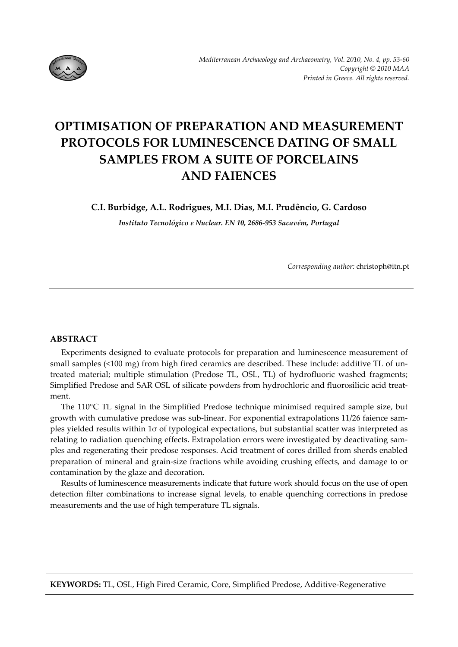

# **OPTIMISATION OF PREPARATION AND MEASUREMENT PROTOCOLS FOR LUMINESCENCE DATING OF SMALL SAMPLES FROM A SUITE OF PORCELAINS AND FAIENCES**

**C.I. Burbidge, A.L. Rodrigues, M.I. Dias, M.I. Prudêncio, G. Cardoso**

*Instituto Tecnológico e Nuclear. EN 10, 2686‐953 Sacavém, Portugal*

*Corresponding author:* christoph@itn.pt

## **ABSTRACT**

Experiments designed to evaluate protocols for preparation and luminescence measurement of small samples (<100 mg) from high fired ceramics are described. These include: additive TL of untreated material; multiple stimulation (Predose TL, OSL, TL) of hydrofluoric washed fragments; Simplified Predose and SAR OSL of silicate powders from hydrochloric and fluorosilicic acid treat‐ ment.

The 110°C TL signal in the Simplified Predose technique minimised required sample size, but growth with cumulative predose was sub-linear. For exponential extrapolations 11/26 faience samples yielded results within 1σ of typological expectations, but substantial scatter was interpreted as relating to radiation quenching effects. Extrapolation errors were investigated by deactivating samples and regenerating their predose responses. Acid treatment of cores drilled from sherds enabled preparation of mineral and grain‐size fractions while avoiding crushing effects, and damage to or contamination by the glaze and decoration.

Results of luminescence measurements indicate that future work should focus on the use of open detection filter combinations to increase signal levels, to enable quenching corrections in predose measurements and the use of high temperature TL signals.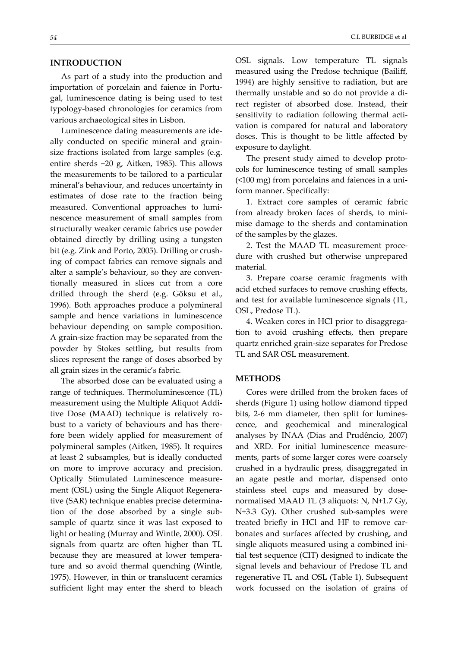#### **INTRODUCTION**

As part of a study into the production and importation of porcelain and faience in Portugal, luminescence dating is being used to test typology‐based chronologies for ceramics from various archaeological sites in Lisbon.

Luminescence dating measurements are ide‐ ally conducted on specific mineral and grain‐ size fractions isolated from large samples (e.g. entire sherds ~20 g, Aitken, 1985). This allows the measurements to be tailored to a particular mineral's behaviour, and reduces uncertainty in estimates of dose rate to the fraction being measured. Conventional approaches to lumi‐ nescence measurement of small samples from structurally weaker ceramic fabrics use powder obtained directly by drilling using a tungsten bit (e.g. Zink and Porto, 2005). Drilling or crush‐ ing of compact fabrics can remove signals and alter a sample's behaviour, so they are conventionally measured in slices cut from a core drilled through the sherd (e.g. Göksu et al., 1996). Both approaches produce a polymineral sample and hence variations in luminescence behaviour depending on sample composition. A grain‐size fraction may be separated from the powder by Stokes settling, but results from slices represent the range of doses absorbed by all grain sizes in the ceramic's fabric.

The absorbed dose can be evaluated using a range of techniques. Thermoluminescence (TL) measurement using the Multiple Aliquot Addi‐ tive Dose (MAAD) technique is relatively ro‐ bust to a variety of behaviours and has there‐ fore been widely applied for measurement of polymineral samples (Aitken, 1985). It requires at least 2 subsamples, but is ideally conducted on more to improve accuracy and precision. Optically Stimulated Luminescence measure‐ ment (OSL) using the Single Aliquot Regenera‐ tive (SAR) technique enables precise determina‐ tion of the dose absorbed by a single sub‐ sample of quartz since it was last exposed to light or heating (Murray and Wintle, 2000). OSL signals from quartz are often higher than TL because they are measured at lower tempera‐ ture and so avoid thermal quenching (Wintle, 1975). However, in thin or translucent ceramics sufficient light may enter the sherd to bleach

OSL signals. Low temperature TL signals measured using the Predose technique (Bailiff, 1994) are highly sensitive to radiation, but are thermally unstable and so do not provide a di‐ rect register of absorbed dose. Instead, their sensitivity to radiation following thermal activation is compared for natural and laboratory doses. This is thought to be little affected by exposure to daylight.

The present study aimed to develop protocols for luminescence testing of small samples (<100 mg) from porcelains and faiences in a uni‐ form manner. Specifically:

1. Extract core samples of ceramic fabric from already broken faces of sherds, to mini‐ mise damage to the sherds and contamination of the samples by the glazes.

2. Test the MAAD TL measurement proce‐ dure with crushed but otherwise unprepared material.

3. Prepare coarse ceramic fragments with acid etched surfaces to remove crushing effects, and test for available luminescence signals (TL, OSL, Predose TL).

4. Weaken cores in HCl prior to disaggrega‐ tion to avoid crushing effects, then prepare quartz enriched grain‐size separates for Predose TL and SAR OSL measurement.

#### **METHODS**

Cores were drilled from the broken faces of sherds (Figure 1) using hollow diamond tipped bits, 2‐6 mm diameter, then split for lumines‐ cence, and geochemical and mineralogical analyses by INAA (Dias and Prudêncio, 2007) and XRD. For initial luminescence measure‐ ments, parts of some larger cores were coarsely crushed in a hydraulic press, disaggregated in an agate pestle and mortar, dispensed onto stainless steel cups and measured by dose‐ normalised MAAD TL (3 aliquots: N, N+1.7 Gy, N+3.3 Gy). Other crushed sub-samples were treated briefly in HCl and HF to remove car‐ bonates and surfaces affected by crushing, and single aliquots measured using a combined ini‐ tial test sequence (CIT) designed to indicate the signal levels and behaviour of Predose TL and regenerative TL and OSL (Table 1). Subsequent work focussed on the isolation of grains of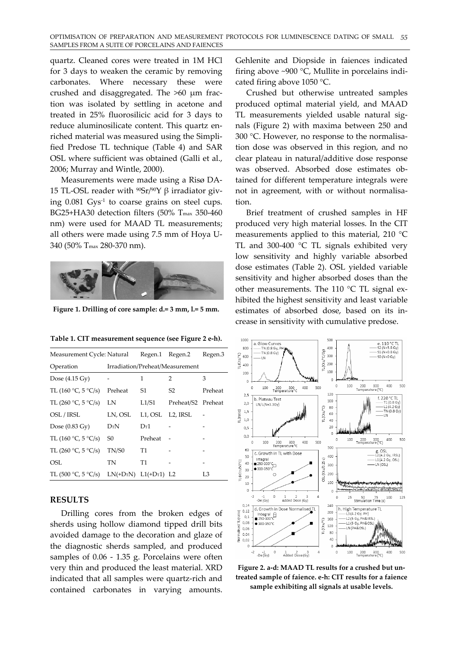quartz. Cleaned cores were treated in 1M HCl for 3 days to weaken the ceramic by removing carbonates. Where necessary these were crushed and disaggregated. The >60 μm frac‐ tion was isolated by settling in acetone and treated in 25% fluorosilicic acid for 3 days to reduce aluminosilicate content. This quartz enriched material was measured using the Simpli‐ fied Predose TL technique (Table 4) and SAR OSL where sufficient was obtained (Galli et al., 2006; Murray and Wintle, 2000).

Measurements were made using a Risø DA‐ 15 TL-OSL reader with  $90Sr/90Y$  β irradiator giving  $0.081 \text{ G}$ ys<sup>-1</sup> to coarse grains on steel cups. BG25+HA30 detection filters (50% T<sub>max</sub> 350-460 nm) were used for MAAD TL measurements; all others were made using 7.5 mm of Hoya U‐ 340 (50% Tmax 280‐370 nm).



**Figure 1. Drilling of core sample: d.= 3 mm, l.= 5 mm.**

**Table 1. CIT measurement sequence (see Figure 2 e‐h).**

| Measurement Cycle: Natural |                          |                                 | Regen.1 Regen.2    | Regen.3 |  |
|----------------------------|--------------------------|---------------------------------|--------------------|---------|--|
| Operation                  |                          | Irradiation/Preheat/Measurement |                    |         |  |
| Dose $(4.15 \text{ Gy})$   |                          | 1                               | 2                  | 3       |  |
| TL (160 °C, 5 °C/s)        | Preheat                  | S1                              | S2                 | Preheat |  |
| TL (260 °C, 5 °C/s)        | LN                       | L1/S1                           | Preheat/S2 Preheat |         |  |
| OSL / IRSL                 | LN, OSL                  | L1, OSL L2, IRSL                |                    |         |  |
| Dose $(0.83 \text{ Gy})$   | DrN                      | $D_{T}1$                        |                    |         |  |
| TL (160 °C, 5 °C/s)        | S0                       | Preheat                         |                    |         |  |
| TL (260 °C, 5 °C/s)        | TN/S0                    | T1                              |                    |         |  |
| OSL                        | TN                       | T1                              |                    |         |  |
| TL (500 °C, 5 °C/s)        | $LN(+DrN)$ $L1(+Dr1)$ L2 |                                 |                    | L3      |  |

#### **RESULTS**

Drilling cores from the broken edges of sherds using hollow diamond tipped drill bits avoided damage to the decoration and glaze of the diagnostic sherds sampled, and produced samples of 0.06 - 1.35 g. Porcelains were often very thin and produced the least material. XRD indicated that all samples were quartz‐rich and contained carbonates in varying amounts.

Gehlenite and Diopside in faiences indicated firing above ~900 °C, Mullite in porcelains indi‐ cated firing above 1050 °C.

Crushed but otherwise untreated samples produced optimal material yield, and MAAD TL measurements yielded usable natural sig‐ nals (Figure 2) with maxima between 250 and 300 °C. However, no response to the normalisation dose was observed in this region, and no clear plateau in natural/additive dose response was observed. Absorbed dose estimates ob‐ tained for different temperature integrals were not in agreement, with or without normalisa‐ tion.

Brief treatment of crushed samples in HF produced very high material losses. In the CIT measurements applied to this material, 210 °C TL and 300-400 °C TL signals exhibited very low sensitivity and highly variable absorbed dose estimates (Table 2). OSL yielded variable sensitivity and higher absorbed doses than the other measurements. The 110 °C TL signal exhibited the highest sensitivity and least variable estimates of absorbed dose, based on its in‐ crease in sensitivity with cumulative predose.



**Figure 2. a‐d: MAAD TL results for a crushed but un‐ treated sample of faience. e‐h: CIT results for a faience sample exhibiting all signals at usable levels.**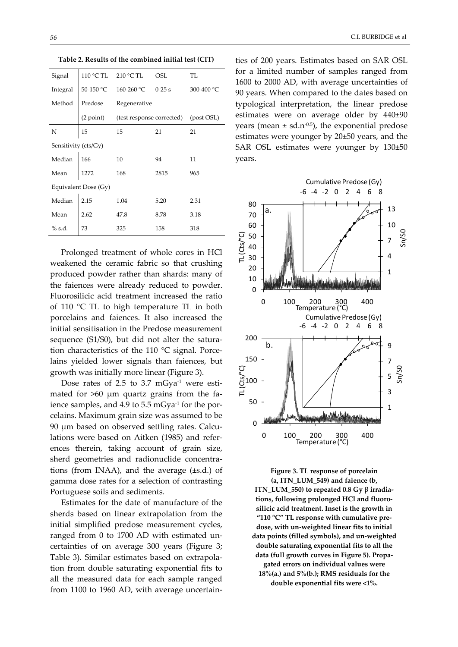| Signal               | 110 °C TL | 210 °C TL                 | OSL      | TL         |  |
|----------------------|-----------|---------------------------|----------|------------|--|
| Integral             | 50-150 °C | 160-260 °C                | $0-25$ s | 300-400 °C |  |
| Method               | Predose   | Regenerative              |          |            |  |
|                      | (2 point) | (test response corrected) |          | (post OSL) |  |
| N                    | 15        | 15                        | 21       | 21         |  |
| Sensitivity (cts/Gy) |           |                           |          |            |  |
| Median               | 166       | 10                        | 94       | 11         |  |
| Mean                 | 1272      | 168                       | 2815     | 965        |  |
| Equivalent Dose (Gy) |           |                           |          |            |  |
| Median               | 2.15      | 1.04                      | 5.20     | 2.31       |  |
| Mean                 | 2.62      | 47.8                      | 8.78     | 3.18       |  |
| $%$ s.d.             | 73        | 325                       | 158      | 318        |  |

**Table 2. Results of the combined initial test (CIT)**

Prolonged treatment of whole cores in HCl weakened the ceramic fabric so that crushing produced powder rather than shards: many of the faiences were already reduced to powder. Fluorosilicic acid treatment increased the ratio of 110 °C TL to high temperature TL in both porcelains and faiences. It also increased the initial sensitisation in the Predose measurement sequence (S1/S0), but did not alter the saturation characteristics of the 110 °C signal. Porcelains yielded lower signals than faiences, but growth was initially more linear (Figure 3).

Dose rates of 2.5 to 3.7  $mGya<sup>-1</sup>$  were estimated for  $>60$  µm quartz grains from the faience samples, and 4.9 to 5.5 mGya<sup>-1</sup> for the porcelains. Maximum grain size was assumed to be 90 μm based on observed settling rates. Calcu‐ lations were based on Aitken (1985) and refer‐ ences therein, taking account of grain size, sherd geometries and radionuclide concentrations (from INAA), and the average (±s.d.) of gamma dose rates for a selection of contrasting Portuguese soils and sediments.

Estimates for the date of manufacture of the sherds based on linear extrapolation from the initial simplified predose measurement cycles, ranged from 0 to 1700 AD with estimated un‐ certainties of on average 300 years (Figure 3; Table 3). Similar estimates based on extrapola‐ tion from double saturating exponential fits to all the measured data for each sample ranged from 1100 to 1960 AD, with average uncertain‐

ties of 200 years. Estimates based on SAR OSL for a limited number of samples ranged from 1600 to 2000 AD, with average uncertainties of 90 years. When compared to the dates based on typological interpretation, the linear predose estimates were on average older by 440±90 years (mean  $\pm$  sd.n<sup>-0.5</sup>), the exponential predose estimates were younger by 20±50 years, and the SAR OSL estimates were younger by 130±50 years.



**Figure 3. TL response of porcelain (a, ITN\_LUM\_549) and faience (b, ITN\_LUM\_550) to repeated 0.8 Gy β irradia‐ tions, following prolonged HCl and fluoro‐ silicic acid treatment. Inset is the growth in "110 °C" TL response with cumulative pre‐ dose, with un‐weighted linear fits to initial data points (filled symbols), and un‐weighted double saturating exponential fits to all the data (full growth curves in Figure 5). Propa‐ gated errors on individual values were 18%(a.) and 5%(b.); RMS residuals for the double exponential fits were <1%.**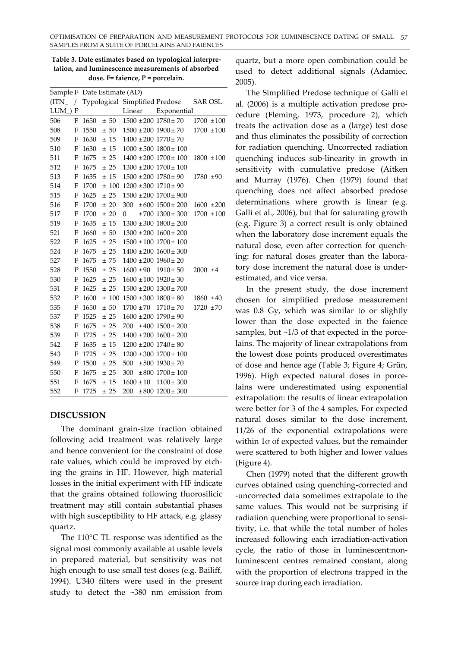| Sample F Date Estimate (AD) |             |      |      |                              |                                        |                |
|-----------------------------|-------------|------|------|------------------------------|----------------------------------------|----------------|
| $(ITN_{-}/$                 |             |      |      |                              | Typological Simplified Predose SAR OSL |                |
| <b>LUM</b>                  | P           |      |      | Linear                       | Exponential                            |                |
| 506                         | F           | 1650 | ± 50 | $1500 \pm 200$ $1780 \pm 70$ |                                        | $1700 \pm 100$ |
| 508                         | F           | 1550 | ± 50 |                              | $1500 \pm 200$ $1900 \pm 70$           | $1700 \pm 100$ |
| 509                         | F           | 1630 | ± 15 | $1400 \pm 200$ $1770 \pm 70$ |                                        |                |
| 510                         | F           | 1630 | ± 15 |                              | $1000 \pm 500$ $1800 \pm 100$          |                |
| 511                         | F           | 1675 | ± 25 |                              | $1400 \pm 200$ $1700 \pm 100$          | $1800 \pm 100$ |
| 512                         | F           | 1675 | ± 25 |                              | $1300 \pm 200$ $1700 \pm 100$          |                |
| 513                         | F           | 1635 | ± 15 | $1500 \pm 200$ $1780 \pm 90$ |                                        | $1780 + 90$    |
| 514                         | F           | 1700 | ±100 | $1200 \pm 300$ $1710 \pm 90$ |                                        |                |
| 515                         | F           | 1625 | ± 25 |                              | $1500 \pm 200$ $1700 \pm 900$          |                |
| 516                         | F           | 1700 | ± 20 | 300                          | $\pm 600$ 1500 $\pm$ 200               | $1600 \pm 200$ |
| 517                         | F           | 1700 | ± 20 | $\overline{0}$               | $±700$ 1300 $±$ 300                    | $1700 \pm 100$ |
| 519                         | F           | 1635 | ± 15 |                              | $1300 \pm 300$ $1800 \pm 200$          |                |
| 521                         | F           | 1660 | ± 50 |                              | $1300 \pm 200$ $1600 \pm 200$          |                |
| 522                         | F           | 1625 | ± 25 |                              | $1500 \pm 100$ $1700 \pm 100$          |                |
| 524                         | F           | 1675 | ± 25 |                              | $1400 \pm 200$ $1600 \pm 300$          |                |
| 527                         | F           | 1675 | ±75  | $1400 \pm 200$ $1960 \pm 20$ |                                        |                |
| 528                         | P           | 1550 | ± 25 | $1600 \pm 90$                | $1910 \pm 50$                          | $2000 \pm 4$   |
| 530                         | F           | 1625 | ± 25 | $1600 \pm 100$ $1920 \pm 30$ |                                        |                |
| 531                         | F           | 1625 | ± 25 |                              | $1500 \pm 200$ $1300 \pm 700$          |                |
| 532                         | P           | 1600 | ±100 | $1500 \pm 300$ $1800 \pm 80$ |                                        | $1860 \pm 40$  |
| 535                         | F           | 1650 | ± 50 | $1700 \pm 70$                | $1710 \pm 70$                          | $1720 \pm 70$  |
| 537                         | P           | 1525 | ± 25 | $1600 \pm 200$ $1790 \pm 90$ |                                        |                |
| 538                         | F           | 1675 | ± 25 |                              | $700 \pm 400 \sqrt{1500 \pm 200}$      |                |
| 539                         | F           | 1725 | ± 25 |                              | $1400 \pm 200$ $1600 \pm 200$          |                |
| 542                         | F           | 1635 | ± 15 | $1200 \pm 200$ $1740 \pm 80$ |                                        |                |
| 543                         | F           | 1725 | ± 25 |                              | $1200 \pm 300$ $1700 \pm 100$          |                |
| 549                         | $\mathbf P$ | 1500 | ± 25 | 500                          | $±500$ 1930 $±70$                      |                |
| 550                         | F           | 1675 | ± 25 | 300                          | $\pm 800$ 1700 $\pm$ 100               |                |
| 551                         | F           | 1675 | ± 15 | $1600 \pm 10$                | $1100 \pm 300$                         |                |
| 552                         | $\mathbf F$ | 1725 | ± 25 | 200                          | $\pm 800$ 1200 $\pm$ 300               |                |

**Table 3. Date estimates based on typological interpre‐ tation, and luminescence measurements of absorbed dose. F= faience, P = porcelain.**

## **DISCUSSION**

The dominant grain‐size fraction obtained following acid treatment was relatively large and hence convenient for the constraint of dose rate values, which could be improved by etching the grains in HF. However, high material losses in the initial experiment with HF indicate that the grains obtained following fluorosilicic treatment may still contain substantial phases with high susceptibility to HF attack, e.g. glassy quartz.

The 110°C TL response was identified as the signal most commonly available at usable levels in prepared material, but sensitivity was not high enough to use small test doses (e.g. Bailiff, 1994). U340 filters were used in the present study to detect the ~380 nm emission from quartz, but a more open combination could be used to detect additional signals (Adamiec, 2005).

The Simplified Predose technique of Galli et al. (2006) is a multiple activation predose pro‐ cedure (Fleming, 1973, procedure 2), which treats the activation dose as a (large) test dose and thus eliminates the possibility of correction for radiation quenching. Uncorrected radiation quenching induces sub‐linearity in growth in sensitivity with cumulative predose (Aitken and Murray (1976). Chen (1979) found that quenching does not affect absorbed predose determinations where growth is linear (e.g. Galli et al., 2006), but that for saturating growth (e.g. Figure 3) a correct result is only obtained when the laboratory dose increment equals the natural dose, even after correction for quench‐ ing: for natural doses greater than the labora‐ tory dose increment the natural dose is under‐ estimated, and vice versa.

In the present study, the dose increment chosen for simplified predose measurement was 0.8 Gy, which was similar to or slightly lower than the dose expected in the faience samples, but  $\sim$ 1/3 of that expected in the porcelains. The majority of linear extrapolations from the lowest dose points produced overestimates of dose and hence age (Table 3; Figure 4; Grün, 1996). High expected natural doses in porce‐ lains were underestimated using exponential extrapolation: the results of linear extrapolation were better for 3 of the 4 samples. For expected natural doses similar to the dose increment, 11/26 of the exponential extrapolations were within 1σ of expected values, but the remainder were scattered to both higher and lower values (Figure 4).

Chen (1979) noted that the different growth curves obtained using quenching‐corrected and ‐uncorrected data sometimes extrapolate to the same values. This would not be surprising if radiation quenching were proportional to sensitivity, i.e. that while the total number of holes increased following each irradiation‐activation cycle, the ratio of those in luminescent:nonluminescent centres remained constant, along with the proportion of electrons trapped in the source trap during each irradiation.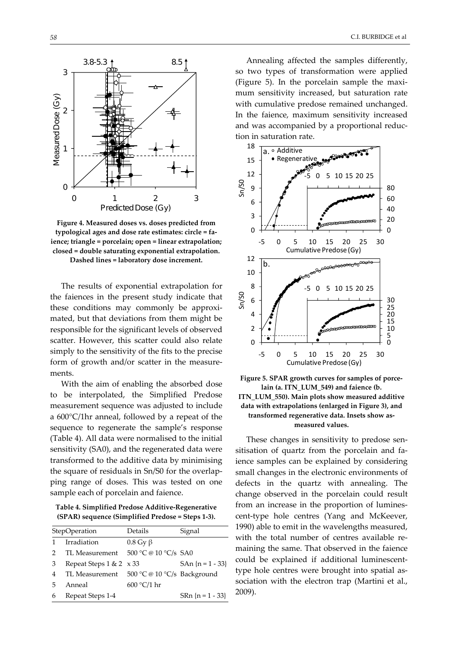

**Figure 4. Measured doses vs. doses predicted from typological ages and dose rate estimates: circle = fa‐ ience; triangle = porcelain; open = linear extrapolation; closed = double saturating exponential extrapolation. Dashed lines = laboratory dose increment.**

The results of exponential extrapolation for the faiences in the present study indicate that these conditions may commonly be approxi‐ mated, but that deviations from them might be responsible for the significant levels of observed scatter. However, this scatter could also relate simply to the sensitivity of the fits to the precise form of growth and/or scatter in the measurements.

With the aim of enabling the absorbed dose to be interpolated, the Simplified Predose measurement sequence was adjusted to include a 600°C/1hr anneal, followed by a repeat of the sequence to regenerate the sample's response (Table 4). All data were normalised to the initial sensitivity (SA0), and the regenerated data were transformed to the additive data by minimising the square of residuals in Sn/S0 for the overlap‐ ping range of doses. This was tested on one sample each of porcelain and faience.

**Table 4. Simplified Predose Additive‐Regenerative (SPAR) sequence (Simplified Predose = Steps 1‐3).**

|   | StepOperation                  | Details                     | Signal               |
|---|--------------------------------|-----------------------------|----------------------|
|   | Irradiation                    | $0.8 \text{ Gy } \beta$     |                      |
|   | TL Measurement                 | 500 °C @ 10 °C/s SA0        |                      |
| 3 | Repeat Steps $1 & 2 \times 33$ |                             | $SAn \{n = 1 - 33\}$ |
| 4 | TL Measurement                 | 500 °C @ 10 °C/s Background |                      |
| 5 | Anneal                         | $600 °C/1$ hr               |                      |
| 6 | Repeat Steps 1-4               |                             | $SRn \{n = 1 - 33\}$ |

Annealing affected the samples differently, so two types of transformation were applied (Figure 5). In the porcelain sample the maxi‐ mum sensitivity increased, but saturation rate with cumulative predose remained unchanged. In the faience, maximum sensitivity increased and was accompanied by a proportional reduc‐ tion in saturation rate.



**Figure 5. SPAR growth curves for samples of porce‐ lain (a. ITN\_LUM\_549) and faience (b. ITN\_LUM\_550). Main plots show measured additive data with extrapolations (enlarged in Figure 3), and transformed regenerative data. Insets show as‐ measured values.**

These changes in sensitivity to predose sen‐ sitisation of quartz from the porcelain and faience samples can be explained by considering small changes in the electronic environments of defects in the quartz with annealing. The change observed in the porcelain could result from an increase in the proportion of luminescent‐type hole centres (Yang and McKeever, 1990) able to emit in the wavelengths measured, with the total number of centres available remaining the same. That observed in the faience could be explained if additional luminescent‐ type hole centres were brought into spatial association with the electron trap (Martini et al., 2009).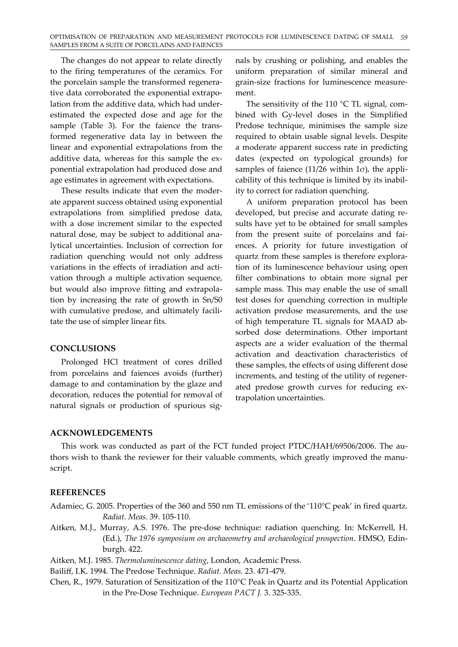The changes do not appear to relate directly to the firing temperatures of the ceramics. For the porcelain sample the transformed regenera‐ tive data corroborated the exponential extrapo‐ lation from the additive data, which had under‐ estimated the expected dose and age for the sample (Table 3). For the faience the transformed regenerative data lay in between the linear and exponential extrapolations from the additive data, whereas for this sample the exponential extrapolation had produced dose and age estimates in agreement with expectations.

These results indicate that even the moder‐ ate apparent success obtained using exponential extrapolations from simplified predose data, with a dose increment similar to the expected natural dose, may be subject to additional ana‐ lytical uncertainties. Inclusion of correction for radiation quenching would not only address variations in the effects of irradiation and activation through a multiple activation sequence, but would also improve fitting and extrapola‐ tion by increasing the rate of growth in Sn/S0 with cumulative predose, and ultimately facili‐ tate the use of simpler linear fits.

## **CONCLUSIONS**

Prolonged HCl treatment of cores drilled from porcelains and faiences avoids (further) damage to and contamination by the glaze and decoration, reduces the potential for removal of natural signals or production of spurious signals by crushing or polishing, and enables the uniform preparation of similar mineral and grain‐size fractions for luminescence measure‐ ment.

The sensitivity of the 110  $\degree$ C TL signal, combined with Gy‐level doses in the Simplified Predose technique, minimises the sample size required to obtain usable signal levels. Despite a moderate apparent success rate in predicting dates (expected on typological grounds) for samples of faience (11/26 within  $1\sigma$ ), the applicability of this technique is limited by its inabil‐ ity to correct for radiation quenching.

A uniform preparation protocol has been developed, but precise and accurate dating re‐ sults have yet to be obtained for small samples from the present suite of porcelains and fai‐ ences. A priority for future investigation of quartz from these samples is therefore explora‐ tion of its luminescence behaviour using open filter combinations to obtain more signal per sample mass. This may enable the use of small test doses for quenching correction in multiple activation predose measurements, and the use of high temperature TL signals for MAAD ab‐ sorbed dose determinations. Other important aspects are a wider evaluation of the thermal activation and deactivation characteristics of these samples, the effects of using different dose increments, and testing of the utility of regener‐ ated predose growth curves for reducing extrapolation uncertainties.

# **ACKNOWLEDGEMENTS**

This work was conducted as part of the FCT funded project PTDC/HAH/69506/2006. The authors wish to thank the reviewer for their valuable comments, which greatly improved the manuscript.

# **REFERENCES**

Adamiec, G. 2005. Properties of the 360 and 550 nm TL emissions of the '110°C peak' in fired quartz. *Radiat. Meas.* 39. 105‐110.

Aitken, M.J., Murray, A.S. 1976. The pre‐dose technique: radiation quenching. In: McKerrell, H. (Ed.), *The 1976 symposium on archaeometry and archaeological prospection*. HMSO, Edin‐ burgh. 422.

Aitken, M.J. 1985. *Thermoluminescence dating*, London, Academic Press.

Bailiff, I.K. 1994. The Predose Technique. *Radiat. Meas.* 23. 471‐479.

Chen, R., 1979. Saturation of Sensitization of the 110°C Peak in Quartz and its Potential Application in the Pre‐Dose Technique. *European PACT J.* 3. 325‐335.